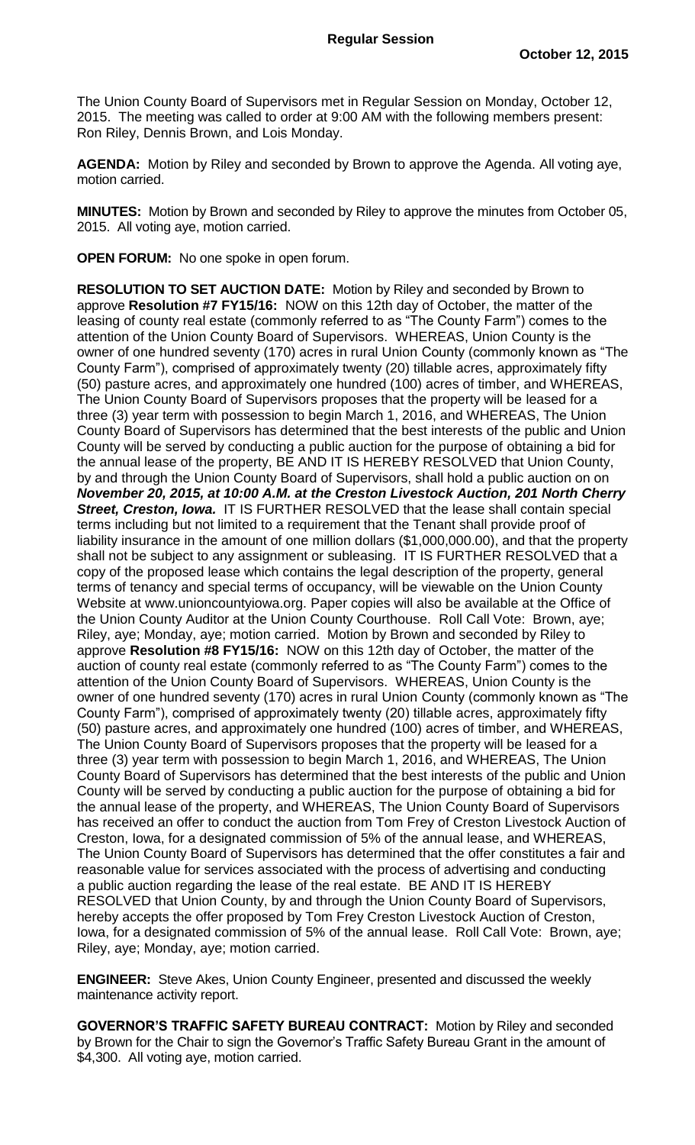The Union County Board of Supervisors met in Regular Session on Monday, October 12, 2015. The meeting was called to order at 9:00 AM with the following members present: Ron Riley, Dennis Brown, and Lois Monday.

**AGENDA:** Motion by Riley and seconded by Brown to approve the Agenda. All voting aye, motion carried.

**MINUTES:** Motion by Brown and seconded by Riley to approve the minutes from October 05, 2015. All voting aye, motion carried.

**OPEN FORUM:** No one spoke in open forum.

**RESOLUTION TO SET AUCTION DATE:** Motion by Riley and seconded by Brown to approve **Resolution #7 FY15/16:** NOW on this 12th day of October, the matter of the leasing of county real estate (commonly referred to as "The County Farm") comes to the attention of the Union County Board of Supervisors. WHEREAS, Union County is the owner of one hundred seventy (170) acres in rural Union County (commonly known as "The County Farm"), comprised of approximately twenty (20) tillable acres, approximately fifty (50) pasture acres, and approximately one hundred (100) acres of timber, and WHEREAS, The Union County Board of Supervisors proposes that the property will be leased for a three (3) year term with possession to begin March 1, 2016, and WHEREAS, The Union County Board of Supervisors has determined that the best interests of the public and Union County will be served by conducting a public auction for the purpose of obtaining a bid for the annual lease of the property, BE AND IT IS HEREBY RESOLVED that Union County, by and through the Union County Board of Supervisors, shall hold a public auction on on *November 20, 2015, at 10:00 A.M. at the Creston Livestock Auction, 201 North Cherry Street, Creston, Iowa.* IT IS FURTHER RESOLVED that the lease shall contain special terms including but not limited to a requirement that the Tenant shall provide proof of liability insurance in the amount of one million dollars (\$1,000,000.00), and that the property shall not be subject to any assignment or subleasing. IT IS FURTHER RESOLVED that a copy of the proposed lease which contains the legal description of the property, general terms of tenancy and special terms of occupancy, will be viewable on the Union County Website at www.unioncountyiowa.org. Paper copies will also be available at the Office of the Union County Auditor at the Union County Courthouse. Roll Call Vote: Brown, aye; Riley, aye; Monday, aye; motion carried. Motion by Brown and seconded by Riley to approve **Resolution #8 FY15/16:** NOW on this 12th day of October, the matter of the auction of county real estate (commonly referred to as "The County Farm") comes to the attention of the Union County Board of Supervisors. WHEREAS, Union County is the owner of one hundred seventy (170) acres in rural Union County (commonly known as "The County Farm"), comprised of approximately twenty (20) tillable acres, approximately fifty (50) pasture acres, and approximately one hundred (100) acres of timber, and WHEREAS, The Union County Board of Supervisors proposes that the property will be leased for a three (3) year term with possession to begin March 1, 2016, and WHEREAS, The Union County Board of Supervisors has determined that the best interests of the public and Union County will be served by conducting a public auction for the purpose of obtaining a bid for the annual lease of the property, and WHEREAS, The Union County Board of Supervisors has received an offer to conduct the auction from Tom Frey of Creston Livestock Auction of Creston, Iowa, for a designated commission of 5% of the annual lease, and WHEREAS, The Union County Board of Supervisors has determined that the offer constitutes a fair and reasonable value for services associated with the process of advertising and conducting a public auction regarding the lease of the real estate. BE AND IT IS HEREBY RESOLVED that Union County, by and through the Union County Board of Supervisors, hereby accepts the offer proposed by Tom Frey Creston Livestock Auction of Creston, Iowa, for a designated commission of 5% of the annual lease. Roll Call Vote: Brown, aye; Riley, aye; Monday, aye; motion carried.

**ENGINEER:** Steve Akes, Union County Engineer, presented and discussed the weekly maintenance activity report.

**GOVERNOR'S TRAFFIC SAFETY BUREAU CONTRACT:** Motion by Riley and seconded by Brown for the Chair to sign the Governor's Traffic Safety Bureau Grant in the amount of \$4,300. All voting aye, motion carried.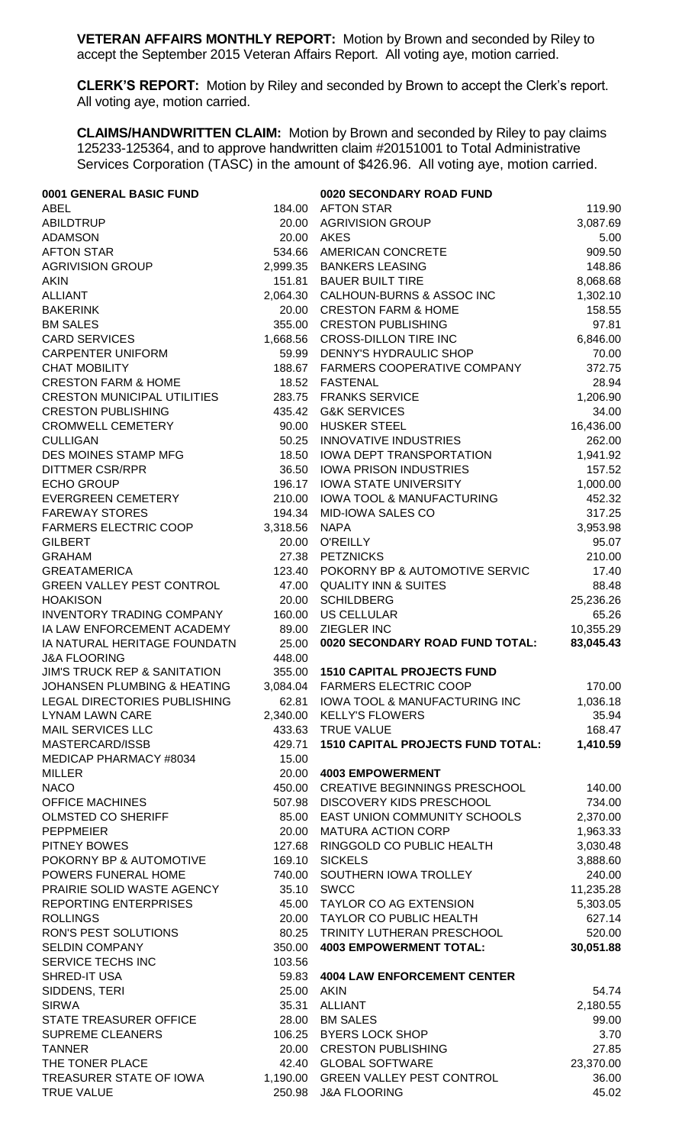**VETERAN AFFAIRS MONTHLY REPORT:** Motion by Brown and seconded by Riley to accept the September 2015 Veteran Affairs Report. All voting aye, motion carried.

**CLERK'S REPORT:** Motion by Riley and seconded by Brown to accept the Clerk's report. All voting aye, motion carried.

**CLAIMS/HANDWRITTEN CLAIM:** Motion by Brown and seconded by Riley to pay claims 125233-125364, and to approve handwritten claim #20151001 to Total Administrative Services Corporation (TASC) in the amount of \$426.96. All voting aye, motion carried.

| 0001 GENERAL BASIC FUND                        |                 | 0020 SECONDARY ROAD FUND                                      |                 |
|------------------------------------------------|-----------------|---------------------------------------------------------------|-----------------|
| <b>ABEL</b>                                    | 184.00          | <b>AFTON STAR</b>                                             | 119.90          |
| <b>ABILDTRUP</b>                               | 20.00           | <b>AGRIVISION GROUP</b>                                       | 3,087.69        |
| <b>ADAMSON</b>                                 | 20.00           | <b>AKES</b>                                                   | 5.00            |
| <b>AFTON STAR</b>                              | 534.66          | <b>AMERICAN CONCRETE</b>                                      | 909.50          |
| <b>AGRIVISION GROUP</b>                        | 2,999.35        | <b>BANKERS LEASING</b>                                        | 148.86          |
| <b>AKIN</b>                                    | 151.81          | <b>BAUER BUILT TIRE</b>                                       | 8,068.68        |
| <b>ALLIANT</b>                                 | 2,064.30        | CALHOUN-BURNS & ASSOC INC                                     | 1,302.10        |
| <b>BAKERINK</b>                                | 20.00           | <b>CRESTON FARM &amp; HOME</b>                                | 158.55          |
| <b>BM SALES</b>                                | 355.00          | <b>CRESTON PUBLISHING</b>                                     | 97.81           |
| <b>CARD SERVICES</b>                           | 1,668.56        | <b>CROSS-DILLON TIRE INC</b>                                  | 6,846.00        |
| <b>CARPENTER UNIFORM</b>                       | 59.99           | DENNY'S HYDRAULIC SHOP                                        | 70.00           |
| <b>CHAT MOBILITY</b>                           | 188.67          | FARMERS COOPERATIVE COMPANY                                   | 372.75          |
| <b>CRESTON FARM &amp; HOME</b>                 | 18.52           | <b>FASTENAL</b>                                               | 28.94           |
| <b>CRESTON MUNICIPAL UTILITIES</b>             | 283.75          | <b>FRANKS SERVICE</b>                                         | 1,206.90        |
| <b>CRESTON PUBLISHING</b>                      | 435.42          | <b>G&amp;K SERVICES</b>                                       | 34.00           |
| <b>CROMWELL CEMETERY</b>                       | 90.00           | <b>HUSKER STEEL</b>                                           | 16,436.00       |
| <b>CULLIGAN</b>                                | 50.25           | INNOVATIVE INDUSTRIES                                         | 262.00          |
| DES MOINES STAMP MFG                           | 18.50           | IOWA DEPT TRANSPORTATION                                      | 1,941.92        |
| <b>DITTMER CSR/RPR</b><br><b>ECHO GROUP</b>    | 36.50<br>196.17 | <b>IOWA PRISON INDUSTRIES</b><br><b>IOWA STATE UNIVERSITY</b> | 157.52          |
|                                                |                 |                                                               | 1,000.00        |
| <b>EVERGREEN CEMETERY</b>                      | 210.00          | <b>IOWA TOOL &amp; MANUFACTURING</b>                          | 452.32          |
| <b>FAREWAY STORES</b>                          | 194.34          | MID-IOWA SALES CO<br><b>NAPA</b>                              | 317.25          |
| <b>FARMERS ELECTRIC COOP</b><br><b>GILBERT</b> | 3,318.56        | <b>O'REILLY</b>                                               | 3,953.98        |
| <b>GRAHAM</b>                                  | 20.00<br>27.38  | <b>PETZNICKS</b>                                              | 95.07<br>210.00 |
| <b>GREATAMERICA</b>                            | 123.40          | POKORNY BP & AUTOMOTIVE SERVIC                                | 17.40           |
| <b>GREEN VALLEY PEST CONTROL</b>               | 47.00           | <b>QUALITY INN &amp; SUITES</b>                               | 88.48           |
| <b>HOAKISON</b>                                | 20.00           | <b>SCHILDBERG</b>                                             | 25,236.26       |
| <b>INVENTORY TRADING COMPANY</b>               | 160.00          | <b>US CELLULAR</b>                                            | 65.26           |
| IA LAW ENFORCEMENT ACADEMY                     | 89.00           | ZIEGLER INC                                                   | 10,355.29       |
| IA NATURAL HERITAGE FOUNDATN                   | 25.00           | 0020 SECONDARY ROAD FUND TOTAL:                               | 83,045.43       |
| <b>J&amp;A FLOORING</b>                        | 448.00          |                                                               |                 |
| <b>JIM'S TRUCK REP &amp; SANITATION</b>        | 355.00          | <b>1510 CAPITAL PROJECTS FUND</b>                             |                 |
| JOHANSEN PLUMBING & HEATING                    | 3,084.04        | <b>FARMERS ELECTRIC COOP</b>                                  | 170.00          |
| LEGAL DIRECTORIES PUBLISHING                   | 62.81           | <b>IOWA TOOL &amp; MANUFACTURING INC</b>                      | 1,036.18        |
| <b>LYNAM LAWN CARE</b>                         | 2,340.00        | <b>KELLY'S FLOWERS</b>                                        | 35.94           |
| <b>MAIL SERVICES LLC</b>                       | 433.63          | <b>TRUE VALUE</b>                                             | 168.47          |
| MASTERCARD/ISSB                                | 429.71          | <b>1510 CAPITAL PROJECTS FUND TOTAL:</b>                      | 1,410.59        |
| MEDICAP PHARMACY #8034                         | 15.00           |                                                               |                 |
| <b>MILLER</b>                                  | 20.00           | <b>4003 EMPOWERMENT</b>                                       |                 |
| <b>NACO</b>                                    | 450.00          | <b>CREATIVE BEGINNINGS PRESCHOOL</b>                          | 140.00          |
| <b>OFFICE MACHINES</b>                         | 507.98          | DISCOVERY KIDS PRESCHOOL                                      | 734.00          |
| <b>OLMSTED CO SHERIFF</b>                      | 85.00           | EAST UNION COMMUNITY SCHOOLS                                  | 2,370.00        |
| <b>PEPPMEIER</b>                               | 20.00           | <b>MATURA ACTION CORP</b>                                     | 1,963.33        |
| PITNEY BOWES                                   | 127.68          | RINGGOLD CO PUBLIC HEALTH                                     | 3,030.48        |
| POKORNY BP & AUTOMOTIVE                        | 169.10          | <b>SICKELS</b>                                                | 3,888.60        |
| POWERS FUNERAL HOME                            | 740.00          | SOUTHERN IOWA TROLLEY                                         | 240.00          |
| PRAIRIE SOLID WASTE AGENCY                     | 35.10           | <b>SWCC</b>                                                   | 11,235.28       |
| REPORTING ENTERPRISES                          | 45.00           | TAYLOR CO AG EXTENSION                                        | 5,303.05        |
| <b>ROLLINGS</b>                                | 20.00           | TAYLOR CO PUBLIC HEALTH                                       | 627.14          |
| RON'S PEST SOLUTIONS                           | 80.25           | TRINITY LUTHERAN PRESCHOOL                                    | 520.00          |
| <b>SELDIN COMPANY</b>                          | 350.00          | <b>4003 EMPOWERMENT TOTAL:</b>                                | 30,051.88       |
| SERVICE TECHS INC                              | 103.56          |                                                               |                 |
| SHRED-IT USA                                   | 59.83           | <b>4004 LAW ENFORCEMENT CENTER</b>                            |                 |
| SIDDENS, TERI                                  | 25.00           | <b>AKIN</b>                                                   | 54.74           |
| <b>SIRWA</b>                                   | 35.31           | <b>ALLIANT</b>                                                | 2,180.55        |
| STATE TREASURER OFFICE                         | 28.00           | <b>BM SALES</b>                                               | 99.00           |
| <b>SUPREME CLEANERS</b>                        | 106.25          | <b>BYERS LOCK SHOP</b>                                        | 3.70            |
| <b>TANNER</b>                                  | 20.00           | <b>CRESTON PUBLISHING</b>                                     | 27.85           |
| THE TONER PLACE                                | 42.40           | <b>GLOBAL SOFTWARE</b>                                        | 23,370.00       |
| TREASURER STATE OF IOWA                        | 1,190.00        | <b>GREEN VALLEY PEST CONTROL</b>                              | 36.00           |
| <b>TRUE VALUE</b>                              | 250.98          | <b>J&amp;A FLOORING</b>                                       | 45.02           |